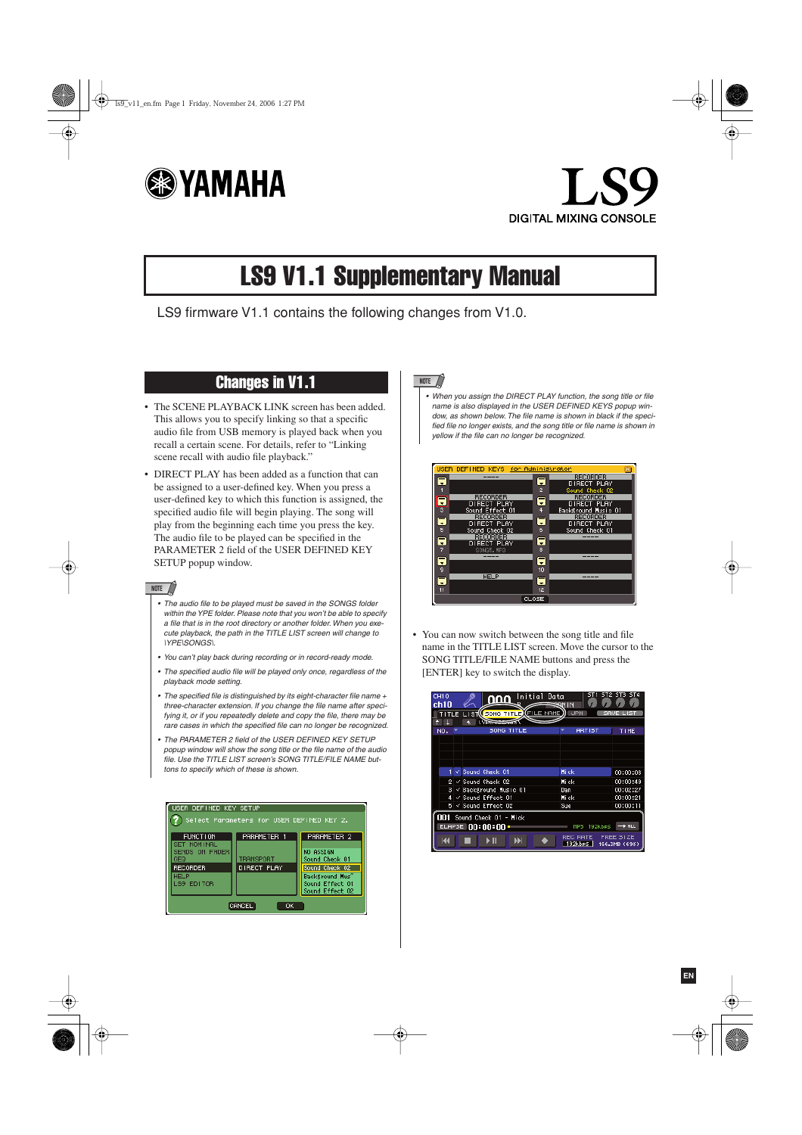



# LS9 V1.1 Supplementary Manual

LS9 firmware V1.1 contains the following changes from V1.0.

### Changes in V1.1

- The SCENE PLAYBACK LINK screen has been added. This allows you to specify linking so that a specific audio file from USB memory is played back when you recall a certain scene. For details, refer to "Linking scene recall with audio file playback."
- DIRECT PLAY has been added as a function that can be assigned to a user-defined key. When you press a user-defined key to which this function is assigned, the specified audio file will begin playing. The song will play from the beginning each time you press the key. The audio file to be played can be specified in the PARAMETER 2 field of the USER DEFINED KEY SETUP popup window.

#### **NOTE**

- *• The audio file to be played must be saved in the SONGS folder within the YPE folder. Please note that you won't be able to specify a file that is in the root directory or another folder. When you execute playback, the path in the TITLE LIST screen will change to \YPE\SONGS\.*
- *You can't play back during recording or in record-ready mode.*
- *• The specified audio file will be played only once, regardless of the playback mode setting.*
- *• The specified file is distinguished by its eight-character file name + three-character extension. If you change the file name after specifying it, or if you repeatedly delete and copy the file, there may be rare cases in which the specified file can no longer be recognized.*
- *• The PARAMETER 2 field of the USER DEFINED KEY SETUP popup window will show the song title or the file name of the audio file. Use the TITLE LIST screen's SONG TITLE/FILE NAME buttons to specify which of these is shown.*



#### **NOTE**

*• When you assign the DIRECT PLAY function, the song title or file name is also displayed in the USER DEFINED KEYS popup window, as shown below. The file name is shown in black if the specified file no longer exists, and the song title or file name is shown in yellow if the file can no longer be recognized.*



• You can now switch between the song title and file name in the TITLE LIST screen. Move the cursor to the SONG TITLE/FILE NAME buttons and press the [ENTER] key to switch the display.

| CH10<br>ch10                                                                                                                     | Initial Data<br>nnn<br>TITLE LIST( <mark>(SONG TITLE)(FILE NAME</mark> | SOM IN<br><b>JPN</b> | sт<br>m       |  |  |
|----------------------------------------------------------------------------------------------------------------------------------|------------------------------------------------------------------------|----------------------|---------------|--|--|
| NO.                                                                                                                              | SONG TITLE                                                             | <b>ARTIST</b>        | TIME          |  |  |
|                                                                                                                                  |                                                                        |                      |               |  |  |
|                                                                                                                                  |                                                                        |                      |               |  |  |
|                                                                                                                                  |                                                                        |                      |               |  |  |
|                                                                                                                                  |                                                                        |                      |               |  |  |
| $\checkmark$                                                                                                                     | Sound Check 01                                                         | <b>Hi</b> ck         | 00:00:08      |  |  |
| 21                                                                                                                               | $\checkmark$ Sound Check 02                                            | Hick                 | 00:00:49      |  |  |
| 3.                                                                                                                               | $\checkmark$ Background Music 01                                       | Dan                  | 00:02:27      |  |  |
| м                                                                                                                                | $\checkmark$ Sound Effect 01                                           | <b>Hick</b>          | 00:00:21      |  |  |
| 5.                                                                                                                               | $\checkmark$ Sound Effect 02                                           | Sue                  | 00:00:11      |  |  |
| nn i<br>Sound Check 01 - Mick<br>ELAPSE $00:00:00$<br>$\rightarrow$ ALL<br>192kbes<br><b>MPB</b><br><b>FREE SIZE</b><br>REC RATE |                                                                        |                      |               |  |  |
|                                                                                                                                  |                                                                        | 192kbps              | 166.3MB (69%) |  |  |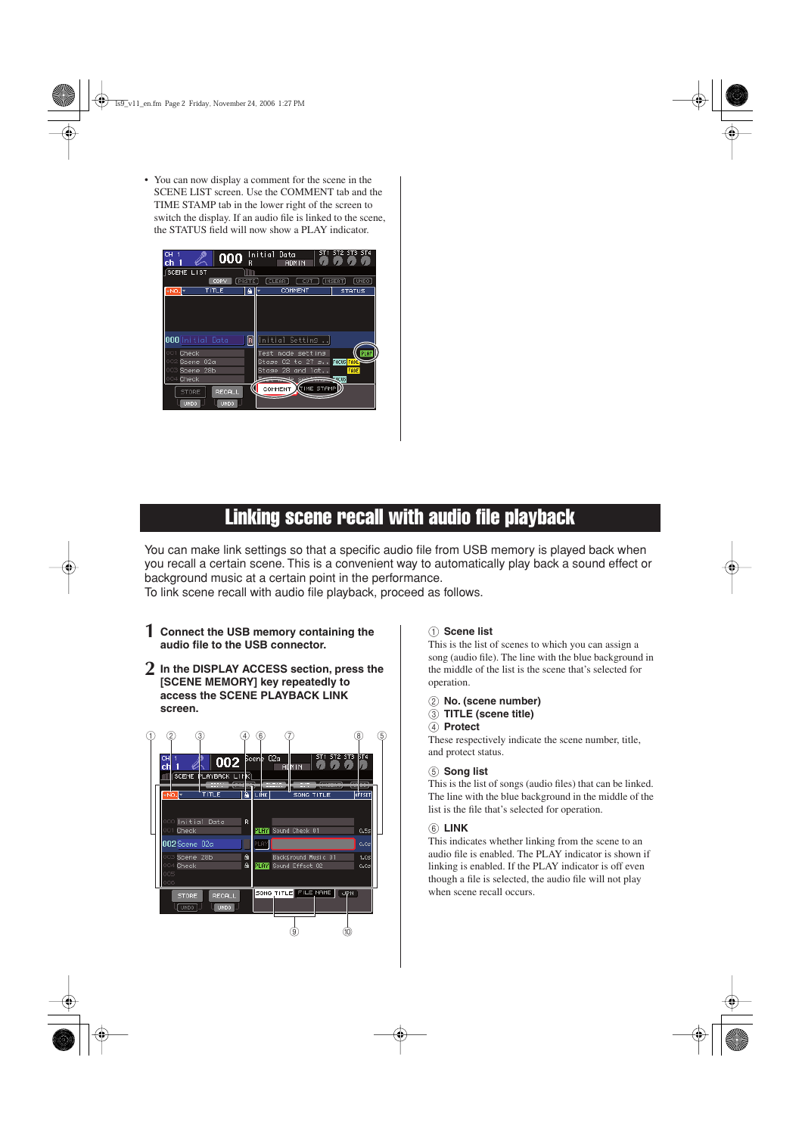• You can now display a comment for the scene in the SCENE LIST screen. Use the COMMENT tab and the TIME STAMP tab in the lower right of the screen to switch the display. If an audio file is linked to the scene, the STATUS field will now show a PLAY indicator.

| cн<br>000<br>ch                                                                       | R            | Initial Data<br>61<br>u.<br><b>ADMIN</b>                                                    | ST2 ST3 ST4<br><u>О 7 Л</u>                |
|---------------------------------------------------------------------------------------|--------------|---------------------------------------------------------------------------------------------|--------------------------------------------|
| SCENE LIST                                                                            |              |                                                                                             |                                            |
| COPY                                                                                  | <b>FRSTE</b> | <b>CLEAR</b><br>CUT                                                                         | <b>LINSERT</b><br>[UNDO]                   |
| TITLE<br>-NO.F                                                                        | ۵            | COMMENT                                                                                     | <b>STATUS</b>                              |
| <b>000</b> Initial Data                                                               | R            | [Initial Setting                                                                            |                                            |
| 001<br>Check<br>02a<br>002<br><b>Scene</b><br>28b<br>Scene<br>003<br>004 <b>Check</b> |              | mode setting<br>Test<br>02 to $27$ s<br>Stase<br>Stase<br>28<br>and lat<br><b>Seb</b><br>ae | PLAY<br><b>FOCUS FADE</b><br>FADE<br>FOCUS |
| <b>RECALL</b><br><b>STORE</b><br><b>UNDO</b><br>UNDO                                  |              | <b>TIME STAMP</b><br>COMMENT                                                                |                                            |

## Linking scene recall with audio file playback

You can make link settings so that a specific audio file from USB memory is played back when you recall a certain scene. This is a convenient way to automatically play back a sound effect or background music at a certain point in the performance.

To link scene recall with audio file playback, proceed as follows.

- **1 Connect the USB memory containing the audio file to the USB connector.**
- **2 In the DISPLAY ACCESS section, press the [SCENE MEMORY] key repeatedly to access the SCENE PLAYBACK LINK screen.**



#### 1 **Scene list**

This is the list of scenes to which you can assign a song (audio file). The line with the blue background in the middle of the list is the scene that's selected for operation.

- B **No. (scene number)**
- C **TITLE (scene title)**
- (4) **Protect**

These respectively indicate the scene number, title, and protect status.

#### E **Song list**

This is the list of songs (audio files) that can be linked. The line with the blue background in the middle of the list is the file that's selected for operation.

#### **(6) LINK**

This indicates whether linking from the scene to an audio file is enabled. The PLAY indicator is shown if linking is enabled. If the PLAY indicator is off even though a file is selected, the audio file will not play when scene recall occurs.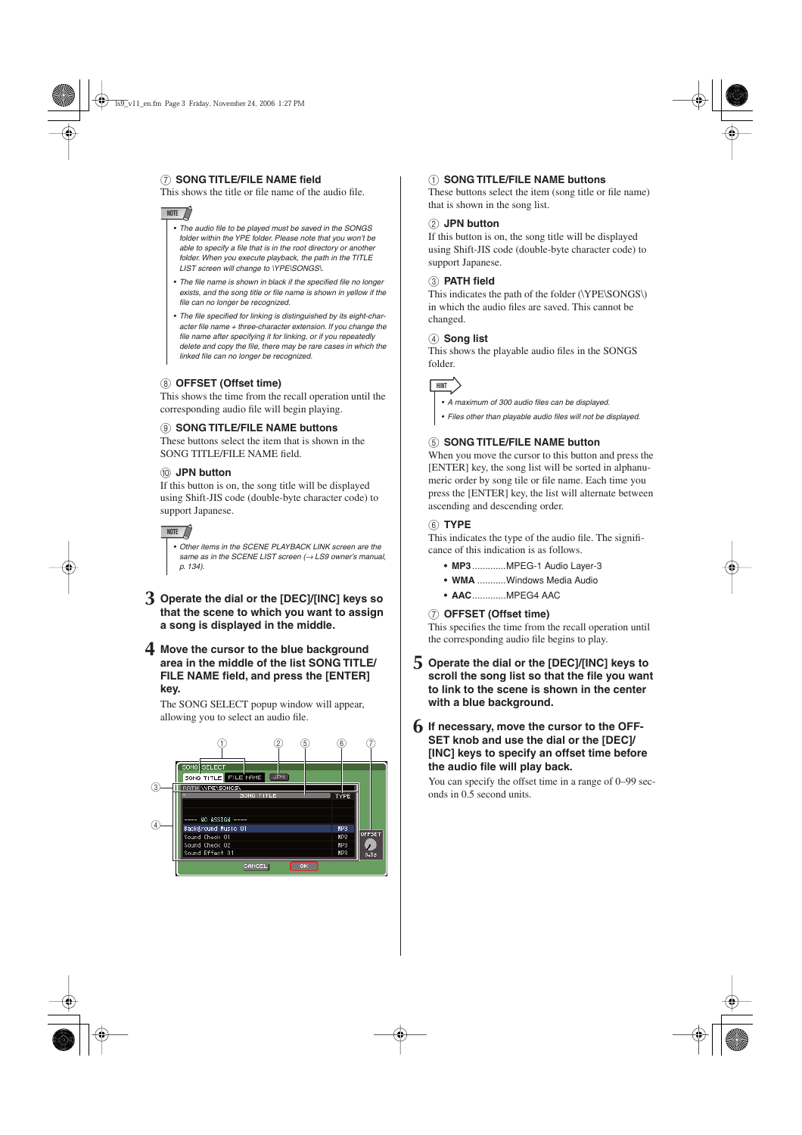#### G **SONG TITLE/FILE NAME field**

This shows the title or file name of the audio file.

#### **NOTE**

- *• The audio file to be played must be saved in the SONGS folder within the YPE folder. Please note that you won't be able to specify a file that is in the root directory or another folder. When you execute playback, the path in the TITLE LIST screen will change to \YPE\SONGS\.*
- *• The file name is shown in black if the specified file no longer exists, and the song title or file name is shown in yellow if the file can no longer be recognized.*
- *• The file specified for linking is distinguished by its eight-character file name + three-character extension. If you change the file name after specifying it for linking, or if you repeatedly delete and copy the file, there may be rare cases in which the linked file can no longer be recognized.*

#### **(8) OFFSET (Offset time)**

This shows the time from the recall operation until the corresponding audio file will begin playing.

#### **(9) SONG TITLE/FILE NAME buttons**

These buttons select the item that is shown in the SONG TITLE/FILE NAME field.

#### $(10)$  JPN button

If this button is on, the song title will be displayed using Shift-JIS code (double-byte character code) to support Japanese.

#### **NOTE**

*• Other items in the SCENE PLAYBACK LINK screen are the same as in the SCENE LIST screen (→ LS9 owner's manual, p. 134).*

**3 Operate the dial or the [DEC]/[INC] keys so that the scene to which you want to assign a song is displayed in the middle.**

#### **4 Move the cursor to the blue background area in the middle of the list SONG TITLE/ FILE NAME field, and press the [ENTER] key.**

The SONG SELECT popup window will appear, allowing you to select an audio file.



#### 1 **SONG TITLE/FILE NAME buttons**

These buttons select the item (song title or file name) that is shown in the song list.

#### B **JPN button**

If this button is on, the song title will be displayed using Shift-JIS code (double-byte character code) to support Japanese.

#### **(3) PATH field**

This indicates the path of the folder (\YPE\SONGS\) in which the audio files are saved. This cannot be changed.

#### (4) Song list

This shows the playable audio files in the SONGS folder.



*• A maximum of 300 audio files can be displayed.*

*• Files other than playable audio files will not be displayed.*

#### **(5) SONG TITLE/FILE NAME button**

When you move the cursor to this button and press the [ENTER] key, the song list will be sorted in alphanumeric order by song tile or file name. Each time you press the [ENTER] key, the list will alternate between ascending and descending order.

#### F **TYPE**

This indicates the type of the audio file. The significance of this indication is as follows.

- **• MP3**.............MPEG-1 Audio Layer-3
- **• WMA** ...........Windows Media Audio
- **AAC**.............MPEG4 AAC

#### G **OFFSET (Offset time)**

This specifies the time from the recall operation until the corresponding audio file begins to play.

**5 Operate the dial or the [DEC]/[INC] keys to scroll the song list so that the file you want to link to the scene is shown in the center with a blue background.**

#### **6 If necessary, move the cursor to the OFF-SET knob and use the dial or the [DEC]/ [INC] keys to specify an offset time before the audio file will play back.**

You can specify the offset time in a range of 0–99 seconds in 0.5 second units.